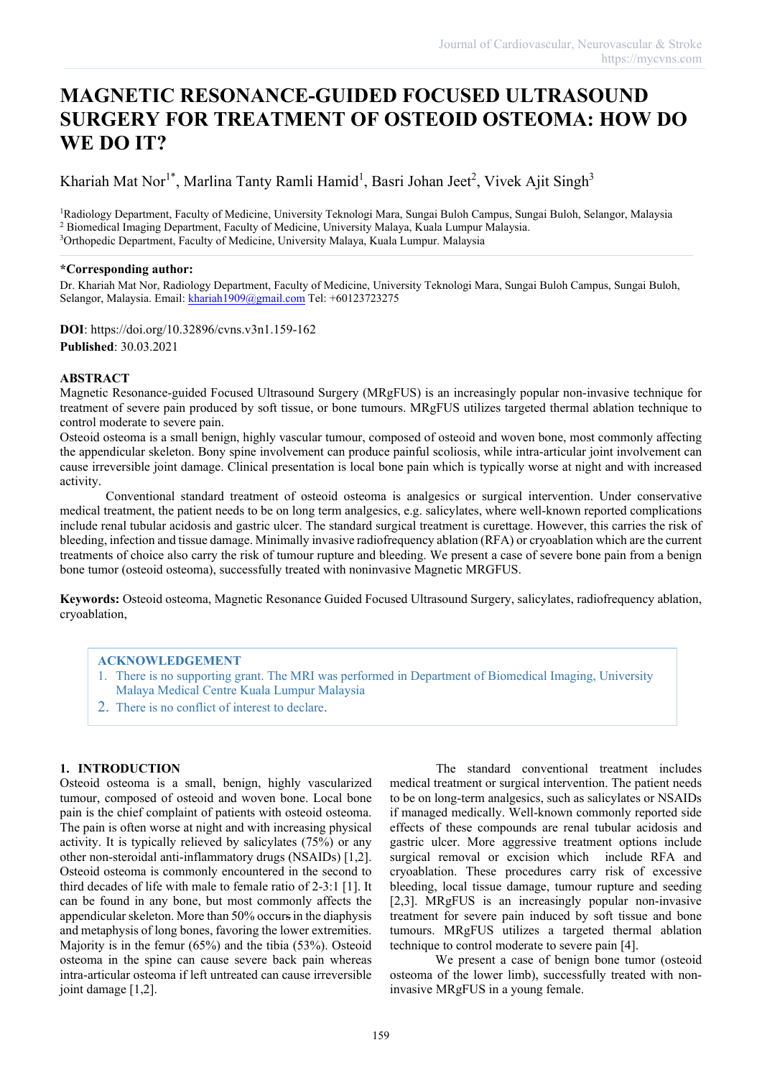# **MAGNETIC RESONANCE-GUIDED FOCUSED ULTRASOUND SURGERY FOR TREATMENT OF OSTEOID OSTEOMA: HOW DO WE DO IT?**

Khariah Mat Nor<sup>1\*</sup>, Marlina Tanty Ramli Hamid<sup>1</sup>, Basri Johan Jeet<sup>2</sup>, Vivek Ajit Singh<sup>3</sup>

1Radiology Department, Faculty of Medicine, University Teknologi Mara, Sungai Buloh Campus, Sungai Buloh, Selangor, Malaysia <sup>2</sup> Biomedical Imaging Department, Faculty of Medicine, University Malaya, Kuala Lumpur Malaysia. <sup>3</sup>Orthopedic Department, Faculty of Medicine, University Malaya, Kuala Lumpur. Malaysia

## **\*Corresponding author:**

Dr. Khariah Mat Nor, Radiology Department, Faculty of Medicine, University Teknologi Mara, Sungai Buloh Campus, Sungai Buloh, Selangor, Malaysia. Email: [khariah1909@gmail.com](mailto:khariah1909@gmail.com) Tel: +60123723275

**DOI**: https://doi.org/10.32896/cvns.v3n1.159-162 **Published**: 30.03.2021

## **ABSTRACT**

Magnetic Resonance-guided Focused Ultrasound Surgery (MRgFUS) is an increasingly popular non-invasive technique for treatment of severe pain produced by soft tissue, or bone tumours. MRgFUS utilizes targeted thermal ablation technique to control moderate to severe pain.

Osteoid osteoma is a small benign, highly vascular tumour, composed of osteoid and woven bone, most commonly affecting the appendicular skeleton. Bony spine involvement can produce painful scoliosis, while intra-articular joint involvement can cause irreversible joint damage. Clinical presentation is local bone pain which is typically worse at night and with increased activity.

Conventional standard treatment of osteoid osteoma is analgesics or surgical intervention. Under conservative medical treatment, the patient needs to be on long term analgesics, e.g. salicylates, where well-known reported complications include renal tubular acidosis and gastric ulcer. The standard surgical treatment is curettage. However, this carries the risk of bleeding, infection and tissue damage. Minimally invasive radiofrequency ablation (RFA) or cryoablation which are the current treatments of choice also carry the risk of tumour rupture and bleeding. We present a case of severe bone pain from a benign bone tumor (osteoid osteoma), successfully treated with noninvasive Magnetic MRGFUS.

**Keywords:** Osteoid osteoma, Magnetic Resonance Guided Focused Ultrasound Surgery, salicylates, radiofrequency ablation, cryoablation,

#### **ACKNOWLEDGEMENT**

- 1. There is no supporting grant. The MRI was performed in Department of Biomedical Imaging, University Malaya Medical Centre Kuala Lumpur Malaysia
- 2. There is no conflict of interest to declare.

# **1. INTRODUCTION**

Osteoid osteoma is a small, benign, highly vascularized tumour, composed of osteoid and woven bone. Local bone pain is the chief complaint of patients with osteoid osteoma. The pain is often worse at night and with increasing physical activity. It is typically relieved by salicylates (75%) or any other non-steroidal anti-inflammatory drugs (NSAIDs) [1,2]. Osteoid osteoma is commonly encountered in the second to third decades of life with male to female ratio of 2-3:1 [1]. It can be found in any bone, but most commonly affects the appendicular skeleton. More than 50% occurs in the diaphysis and metaphysis of long bones, favoring the lower extremities. Majority is in the femur (65%) and the tibia (53%). Osteoid osteoma in the spine can cause severe back pain whereas intra-articular osteoma if left untreated can cause irreversible joint damage [1,2].

The standard conventional treatment includes medical treatment or surgical intervention. The patient needs to be on long-term analgesics, such as salicylates or NSAIDs if managed medically. Well-known commonly reported side effects of these compounds are renal tubular acidosis and gastric ulcer. More aggressive treatment options include surgical removal or excision which include RFA and cryoablation. These procedures carry risk of excessive bleeding, local tissue damage, tumour rupture and seeding [2,3]. MRgFUS is an increasingly popular non-invasive treatment for severe pain induced by soft tissue and bone tumours. MRgFUS utilizes a targeted thermal ablation technique to control moderate to severe pain [4].

We present a case of benign bone tumor (osteoid osteoma of the lower limb), successfully treated with noninvasive MRgFUS in a young female.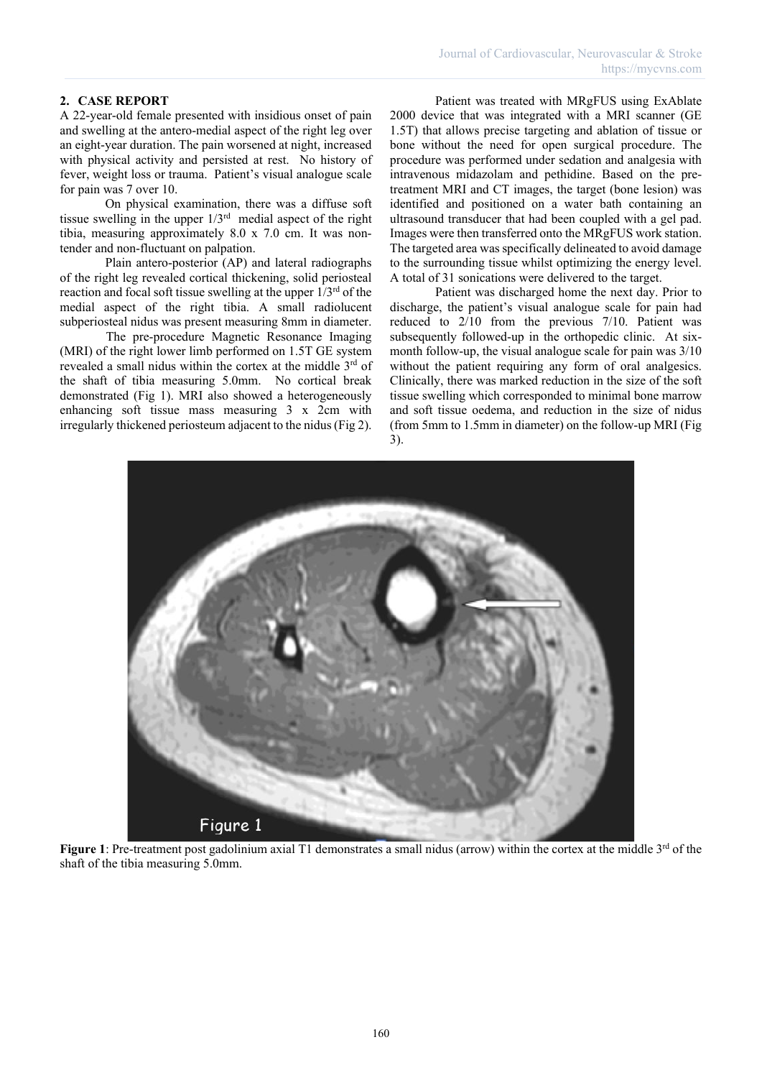# **2. CASE REPORT**

A 22-year-old female presented with insidious onset of pain and swelling at the antero-medial aspect of the right leg over an eight-year duration. The pain worsened at night, increased with physical activity and persisted at rest. No history of fever, weight loss or trauma. Patient's visual analogue scale for pain was 7 over 10.

On physical examination, there was a diffuse soft tissue swelling in the upper  $1/3<sup>rd</sup>$  medial aspect of the right tibia, measuring approximately 8.0 x 7.0 cm. It was nontender and non-fluctuant on palpation.

Plain antero-posterior (AP) and lateral radiographs of the right leg revealed cortical thickening, solid periosteal reaction and focal soft tissue swelling at the upper  $1/3^{rd}$  of the medial aspect of the right tibia. A small radiolucent subperiosteal nidus was present measuring 8mm in diameter.

The pre-procedure Magnetic Resonance Imaging (MRI) of the right lower limb performed on 1.5T GE system revealed a small nidus within the cortex at the middle 3<sup>rd</sup> of the shaft of tibia measuring 5.0mm. No cortical break demonstrated (Fig 1). MRI also showed a heterogeneously enhancing soft tissue mass measuring 3 x 2cm with irregularly thickened periosteum adjacent to the nidus (Fig 2).

Patient was treated with MRgFUS using ExAblate 2000 device that was integrated with a MRI scanner (GE 1.5T) that allows precise targeting and ablation of tissue or bone without the need for open surgical procedure. The procedure was performed under sedation and analgesia with intravenous midazolam and pethidine. Based on the pretreatment MRI and CT images, the target (bone lesion) was identified and positioned on a water bath containing an ultrasound transducer that had been coupled with a gel pad. Images were then transferred onto the MRgFUS work station. The targeted area was specifically delineated to avoid damage to the surrounding tissue whilst optimizing the energy level. A total of 31 sonications were delivered to the target.

Patient was discharged home the next day. Prior to discharge, the patient's visual analogue scale for pain had reduced to 2/10 from the previous 7/10. Patient was subsequently followed-up in the orthopedic clinic. At sixmonth follow-up, the visual analogue scale for pain was 3/10 without the patient requiring any form of oral analgesics. Clinically, there was marked reduction in the size of the soft tissue swelling which corresponded to minimal bone marrow and soft tissue oedema, and reduction in the size of nidus (from 5mm to 1.5mm in diameter) on the follow-up MRI (Fig 3).



**Figure 1**: Pre-treatment post gadolinium axial T1 demonstrates a small nidus (arrow) within the cortex at the middle 3<sup>rd</sup> of the shaft of the tibia measuring 5.0mm.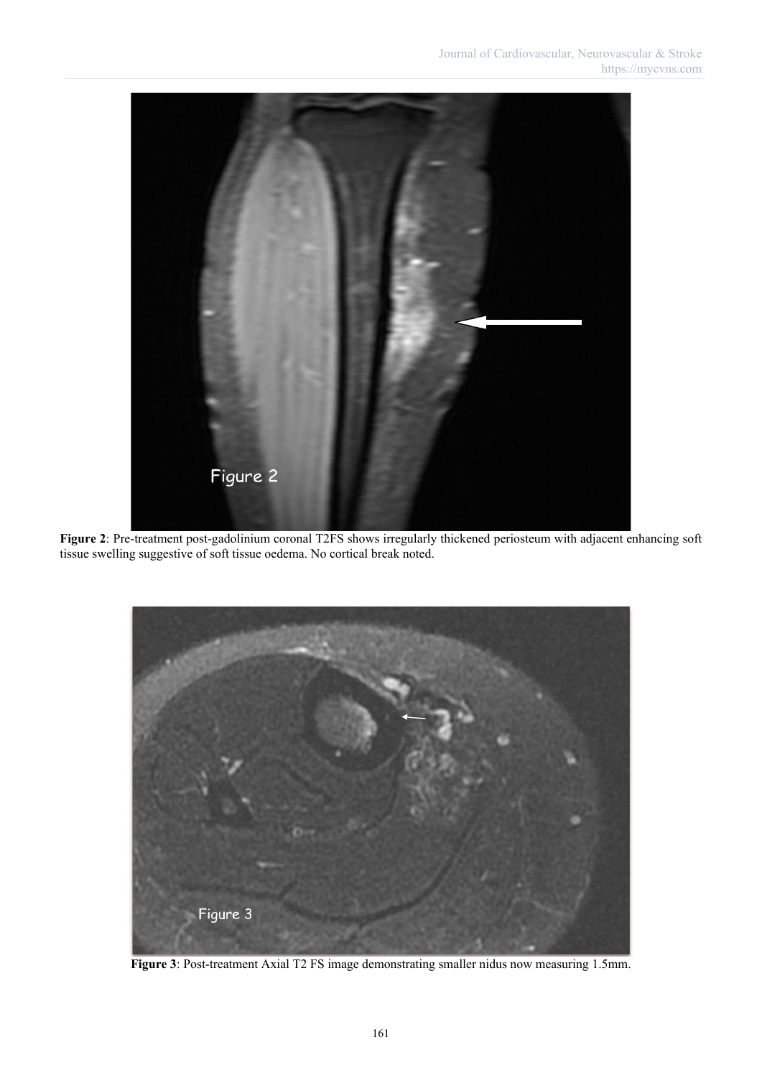

**Figure 2**: Pre-treatment post-gadolinium coronal T2FS shows irregularly thickened periosteum with adjacent enhancing soft tissue swelling suggestive of soft tissue oedema. No cortical break noted.



**Figure 3**: Post-treatment Axial T2 FS image demonstrating smaller nidus now measuring 1.5mm.